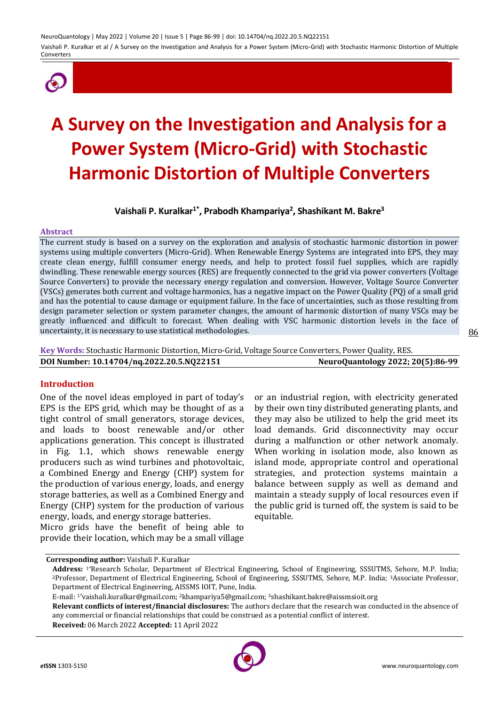

# **A Survey on the Investigation and Analysis for a Power System (Micro-Grid) with Stochastic Harmonic Distortion of Multiple Converters**

# **Vaishali P. Kuralkar1\*, Prabodh Khampariya<sup>2</sup> , Shashikant M. Bakre<sup>3</sup>**

#### **Abstract**

The current study is based on a survey on the exploration and analysis of stochastic harmonic distortion in power systems using multiple converters (Micro-Grid). When Renewable Energy Systems are integrated into EPS, they may create clean energy, fulfill consumer energy needs, and help to protect fossil fuel supplies, which are rapidly dwindling. These renewable energy sources (RES) are frequently connected to the grid via power converters (Voltage Source Converters) to provide the necessary energy regulation and conversion. However, Voltage Source Converter (VSCs) generates both current and voltage harmonics, has a negative impact on the Power Quality (PQ) of a small grid and has the potential to cause damage or equipment failure. In the face of uncertainties, such as those resulting from design parameter selection or system parameter changes, the amount of harmonic distortion of many VSCs may be greatly influenced and difficult to forecast. When dealing with VSC harmonic distortion levels in the face of uncertainty, it is necessary to use statistical methodologies.

**Key Words:** Stochastic Harmonic Distortion, Micro-Grid, Voltage Source Converters, Power Quality, RES. **DOI Number: 10.14704/nq.2022.20.5.NQ22151 NeuroQuantology 2022; 20(5):86-99**

#### **Introduction**

One of the novel ideas employed in part of today's EPS is the EPS grid, which may be thought of as a tight control of small generators, storage devices, and loads to boost renewable and/or other applications generation. This concept is illustrated in Fig. 1.1, which shows renewable energy producers such as wind turbines and photovoltaic, a Combined Energy and Energy (CHP) system for the production of various energy, loads, and energy storage batteries, as well as a Combined Energy and Energy (CHP) system for the production of various energy, loads, and energy storage batteries.

Micro grids have the benefit of being able to provide their location, which may be a small village or an industrial region, with electricity generated by their own tiny distributed generating plants, and they may also be utilized to help the grid meet its load demands. Grid disconnectivity may occur during a malfunction or other network anomaly. When working in isolation mode, also known as island mode, appropriate control and operational strategies, and protection systems maintain a balance between supply as well as demand and maintain a steady supply of local resources even if the public grid is turned off, the system is said to be equitable.

**Received:** 06 March 2022 **Accepted:** 11 April 2022



**Corresponding author:** Vaishali P. Kuralkar

**Address:** 1\*Research Scholar, Department of Electrical Engineering, School of Engineering, SSSUTMS, Sehore, M.P. India; <sup>2</sup>Professor, Department of Electrical Engineering, School of Engineering, SSSUTMS, Sehore, M.P. India; 3Associate Professor, Department of Electrical Engineering, AISSMS IOIT, Pune, India.

E-mail: 1\*vaishali.kuralkar@gmail.com; <sup>2</sup>khampariya5@gmail.com; <sup>3</sup>shashikant.bakre@aissmsioit.org

**Relevant conflicts of interest/financial disclosures:** The authors declare that the research was conducted in the absence of any commercial or financial relationships that could be construed as a potential conflict of interest.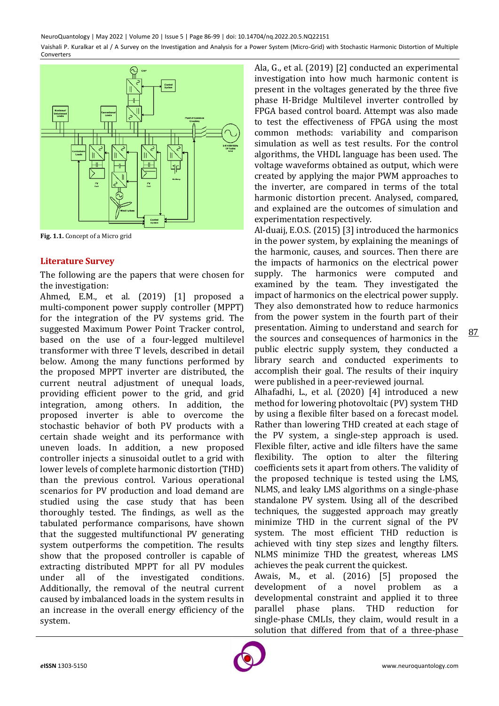

**Fig. 1.1.** Concept of a Micro grid

## **Literature Survey**

The following are the papers that were chosen for the investigation:

Ahmed, E.M., et al. (2019) [1] proposed a multi-component power supply controller (MPPT) for the integration of the PV systems grid. The suggested Maximum Power Point Tracker control, based on the use of a four-legged multilevel transformer with three T levels, described in detail below. Among the many functions performed by the proposed MPPT inverter are distributed, the current neutral adjustment of unequal loads, providing efficient power to the grid, and grid integration, among others. In addition, the proposed inverter is able to overcome the stochastic behavior of both PV products with a certain shade weight and its performance with uneven loads. In addition, a new proposed controller injects a sinusoidal outlet to a grid with lower levels of complete harmonic distortion (THD) than the previous control. Various operational scenarios for PV production and load demand are studied using the case study that has been thoroughly tested. The findings, as well as the tabulated performance comparisons, have shown that the suggested multifunctional PV generating system outperforms the competition. The results show that the proposed controller is capable of extracting distributed MPPT for all PV modules under all of the investigated conditions. Additionally, the removal of the neutral current caused by imbalanced loads in the system results in an increase in the overall energy efficiency of the system.

Ala, G., et al. (2019) [2] conducted an experimental investigation into how much harmonic content is present in the voltages generated by the three five phase H-Bridge Multilevel inverter controlled by FPGA based control board. Attempt was also made to test the effectiveness of FPGA using the most common methods: variability and comparison simulation as well as test results. For the control algorithms, the VHDL language has been used. The voltage waveforms obtained as output, which were created by applying the major PWM approaches to the inverter, are compared in terms of the total harmonic distortion precent. Analysed, compared, and explained are the outcomes of simulation and experimentation respectively.

Al-duaij, E.O.S. (2015) [3] introduced the harmonics in the power system, by explaining the meanings of the harmonic, causes, and sources. Then there are the impacts of harmonics on the electrical power supply. The harmonics were computed and examined by the team. They investigated the impact of harmonics on the electrical power supply. They also demonstrated how to reduce harmonics from the power system in the fourth part of their presentation. Aiming to understand and search for the sources and consequences of harmonics in the public electric supply system, they conducted a library search and conducted experiments to accomplish their goal. The results of their inquiry were published in a peer-reviewed journal.

Alhafadhi, L., et al. (2020) [4] introduced a new method for lowering photovoltaic (PV) system THD by using a flexible filter based on a forecast model. Rather than lowering THD created at each stage of the PV system, a single-step approach is used. Flexible filter, active and idle filters have the same flexibility. The option to alter the filtering coefficients sets it apart from others. The validity of the proposed technique is tested using the LMS, NLMS, and leaky LMS algorithms on a single-phase standalone PV system. Using all of the described techniques, the suggested approach may greatly minimize THD in the current signal of the PV system. The most efficient THD reduction is achieved with tiny step sizes and lengthy filters. NLMS minimize THD the greatest, whereas LMS achieves the peak current the quickest.

Awais, M., et al. (2016) [5] proposed the development of a novel problem as a developmental constraint and applied it to three parallel phase plans. THD reduction for single-phase CMLIs, they claim, would result in a solution that differed from that of a three-phase

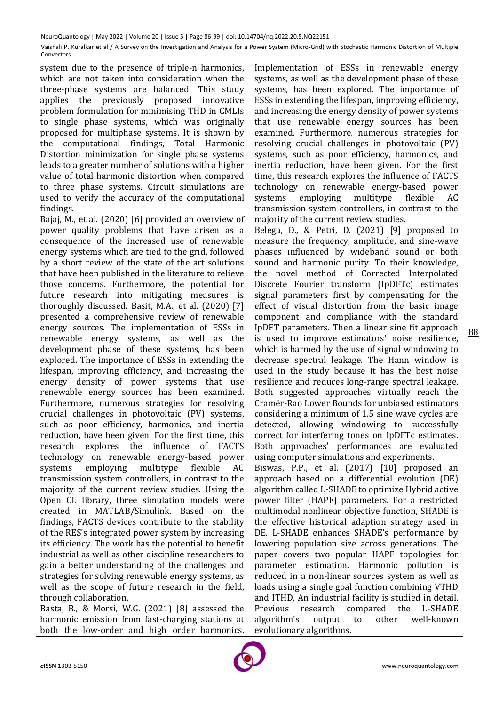system due to the presence of triple-n harmonics, which are not taken into consideration when the three-phase systems are balanced. This study applies the previously proposed innovative problem formulation for minimising THD in CMLIs to single phase systems, which was originally proposed for multiphase systems. It is shown by the computational findings, Total Harmonic Distortion minimization for single phase systems leads to a greater number of solutions with a higher value of total harmonic distortion when compared to three phase systems. Circuit simulations are used to verify the accuracy of the computational findings.

Bajaj, M., et al. (2020) [6] provided an overview of power quality problems that have arisen as a consequence of the increased use of renewable energy systems which are tied to the grid, followed by a short review of the state of the art solutions that have been published in the literature to relieve those concerns. Furthermore, the potential for future research into mitigating measures is thoroughly discussed. Basit, M.A., et al. (2020) [7] presented a comprehensive review of renewable energy sources. The implementation of ESSs in renewable energy systems, as well as the development phase of these systems, has been explored. The importance of ESSs in extending the lifespan, improving efficiency, and increasing the energy density of power systems that use renewable energy sources has been examined. Furthermore, numerous strategies for resolving crucial challenges in photovoltaic (PV) systems, such as poor efficiency, harmonics, and inertia reduction, have been given. For the first time, this research explores the influence of FACTS technology on renewable energy-based power systems employing multitype flexible AC transmission system controllers, in contrast to the majority of the current review studies. Using the Open CL library, three simulation models were created in MATLAB/Simulink. Based on the findings, FACTS devices contribute to the stability of the RES's integrated power system by increasing its efficiency. The work has the potential to benefit industrial as well as other discipline researchers to gain a better understanding of the challenges and strategies for solving renewable energy systems, as well as the scope of future research in the field, through collaboration.

Basta, B., & Morsi, W.G. (2021) [8] assessed the harmonic emission from fast-charging stations at both the low-order and high order harmonics.

Implementation of ESSs in renewable energy systems, as well as the development phase of these systems, has been explored. The importance of ESSs in extending the lifespan, improving efficiency, and increasing the energy density of power systems that use renewable energy sources has been examined. Furthermore, numerous strategies for resolving crucial challenges in photovoltaic (PV) systems, such as poor efficiency, harmonics, and inertia reduction, have been given. For the first time, this research explores the influence of FACTS technology on renewable energy-based power systems employing multitype flexible AC transmission system controllers, in contrast to the majority of the current review studies.

Belega, D., & Petri, D. (2021) [9] proposed to measure the frequency, amplitude, and sine-wave phases influenced by wideband sound or both sound and harmonic purity. To their knowledge, the novel method of Corrected Interpolated Discrete Fourier transform (IpDFTc) estimates signal parameters first by compensating for the effect of visual distortion from the basic image component and compliance with the standard IpDFT parameters. Then a linear sine fit approach is used to improve estimators' noise resilience, which is harmed by the use of signal windowing to decrease spectral leakage. The Hann window is used in the study because it has the best noise resilience and reduces long-range spectral leakage. Both suggested approaches virtually reach the Cramér-Rao Lower Bounds for unbiased estimators considering a minimum of 1.5 sine wave cycles are detected, allowing windowing to successfully correct for interfering tones on IpDFTc estimates. Both approaches' performances are evaluated using computer simulations and experiments.

Biswas, P.P., et al. (2017) [10] proposed an approach based on a differential evolution (DE) algorithm called L-SHADE to optimize Hybrid active power filter (HAPF) parameters. For a restricted multimodal nonlinear objective function, SHADE is the effective historical adaption strategy used in DE. L-SHADE enhances SHADE's performance by lowering population size across generations. The paper covers two popular HAPF topologies for parameter estimation. Harmonic pollution is reduced in a non-linear sources system as well as loads using a single goal function combining VTHD and ITHD. An industrial facility is studied in detail. Previous research compared the L-SHADE algorithm's output to other well-known evolutionary algorithms.

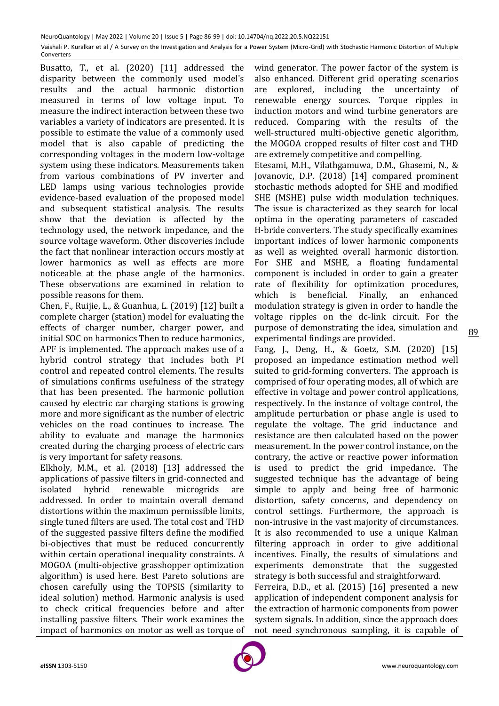Busatto, T., et al. (2020) [11] addressed the disparity between the commonly used model's results and the actual harmonic distortion measured in terms of low voltage input. To measure the indirect interaction between these two variables a variety of indicators are presented. It is possible to estimate the value of a commonly used model that is also capable of predicting the corresponding voltages in the modern low-voltage system using these indicators. Measurements taken from various combinations of PV inverter and LED lamps using various technologies provide evidence-based evaluation of the proposed model and subsequent statistical analysis. The results show that the deviation is affected by the technology used, the network impedance, and the source voltage waveform. Other discoveries include the fact that nonlinear interaction occurs mostly at lower harmonics as well as effects are more noticeable at the phase angle of the harmonics. These observations are examined in relation to possible reasons for them.

Chen, F., Ruijie, L., & Guanhua, L. (2019) [12] built a complete charger (station) model for evaluating the effects of charger number, charger power, and initial SOC on harmonics Then to reduce harmonics, APF is implemented. The approach makes use of a hybrid control strategy that includes both PI control and repeated control elements. The results of simulations confirms usefulness of the strategy that has been presented. The harmonic pollution caused by electric car charging stations is growing more and more significant as the number of electric vehicles on the road continues to increase. The ability to evaluate and manage the harmonics created during the charging process of electric cars is very important for safety reasons.

Elkholy, M.M., et al. (2018) [13] addressed the applications of passive filters in grid-connected and isolated hybrid renewable microgrids are addressed. In order to maintain overall demand distortions within the maximum permissible limits, single tuned filters are used. The total cost and THD of the suggested passive filters define the modified bi-objectives that must be reduced concurrently within certain operational inequality constraints. A MOGOA (multi-objective grasshopper optimization algorithm) is used here. Best Pareto solutions are chosen carefully using the TOPSIS (similarity to ideal solution) method. Harmonic analysis is used to check critical frequencies before and after installing passive filters. Their work examines the impact of harmonics on motor as well as torque of

wind generator. The power factor of the system is also enhanced. Different grid operating scenarios are explored, including the uncertainty of renewable energy sources. Torque ripples in induction motors and wind turbine generators are reduced. Comparing with the results of the well-structured multi-objective genetic algorithm, the MOGOA cropped results of filter cost and THD are extremely competitive and compelling.

Etesami, M.H., Vilathgamuwa, D.M., Ghasemi, N., & Jovanovic, D.P. (2018) [14] compared prominent stochastic methods adopted for SHE and modified SHE (MSHE) pulse width modulation techniques. The issue is characterized as they search for local optima in the operating parameters of cascaded H-bride converters. The study specifically examines important indices of lower harmonic components as well as weighted overall harmonic distortion. For SHE and MSHE, a floating fundamental component is included in order to gain a greater rate of flexibility for optimization procedures, which is beneficial. Finally, an enhanced modulation strategy is given in order to handle the voltage ripples on the dc-link circuit. For the purpose of demonstrating the idea, simulation and experimental findings are provided.

Fang, J., Deng, H., & Goetz, S.M. (2020) [15] proposed an impedance estimation method well suited to grid-forming converters. The approach is comprised of four operating modes, all of which are effective in voltage and power control applications, respectively. In the instance of voltage control, the amplitude perturbation or phase angle is used to regulate the voltage. The grid inductance and resistance are then calculated based on the power measurement. In the power control instance, on the contrary, the active or reactive power information is used to predict the grid impedance. The suggested technique has the advantage of being simple to apply and being free of harmonic distortion, safety concerns, and dependency on control settings. Furthermore, the approach is non-intrusive in the vast majority of circumstances. It is also recommended to use a unique Kalman filtering approach in order to give additional incentives. Finally, the results of simulations and experiments demonstrate that the suggested strategy is both successful and straightforward.

Ferreira, D.D., et al. (2015) [16] presented a new application of independent component analysis for the extraction of harmonic components from power system signals. In addition, since the approach does not need synchronous sampling, it is capable of

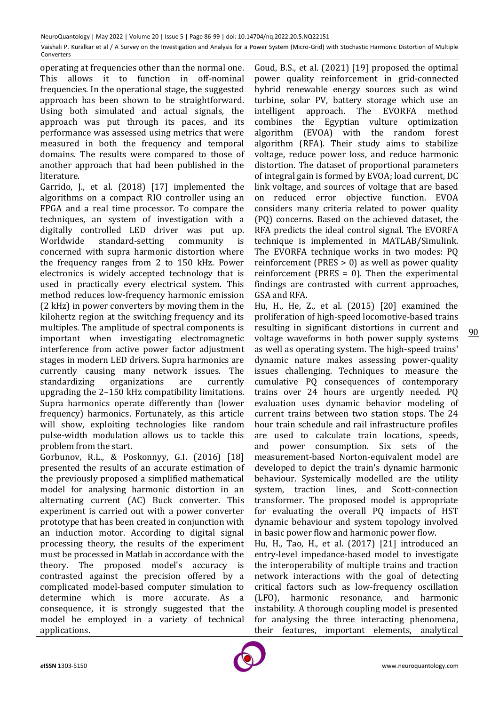operating at frequencies other than the normal one. This allows it to function in off-nominal frequencies. In the operational stage, the suggested approach has been shown to be straightforward. Using both simulated and actual signals, the approach was put through its paces, and its performance was assessed using metrics that were measured in both the frequency and temporal domains. The results were compared to those of another approach that had been published in the literature.

Garrido, J., et al. (2018) [17] implemented the algorithms on a compact RIO controller using an FPGA and a real time processor. To compare the techniques, an system of investigation with a digitally controlled LED driver was put up. Worldwide standard-setting community is concerned with supra harmonic distortion where the frequency ranges from 2 to 150 kHz. Power electronics is widely accepted technology that is used in practically every electrical system. This method reduces low-frequency harmonic emission (2 kHz) in power converters by moving them in the kilohertz region at the switching frequency and its multiples. The amplitude of spectral components is important when investigating electromagnetic interference from active power factor adjustment stages in modern LED drivers. Supra harmonics are currently causing many network issues. The standardizing organizations are currently upgrading the 2–150 kHz compatibility limitations. Supra harmonics operate differently than (lower frequency) harmonics. Fortunately, as this article will show, exploiting technologies like random pulse-width modulation allows us to tackle this problem from the start.

Gorbunov, R.L., & Poskonnyy, G.I. (2016) [18] presented the results of an accurate estimation of the previously proposed a simplified mathematical model for analysing harmonic distortion in an alternating current (AC) Buck converter. This experiment is carried out with a power converter prototype that has been created in conjunction with an induction motor. According to digital signal processing theory, the results of the experiment must be processed in Matlab in accordance with the theory. The proposed model's accuracy is contrasted against the precision offered by a complicated model-based computer simulation to determine which is more accurate. As a consequence, it is strongly suggested that the model be employed in a variety of technical applications.

Goud, B.S., et al. (2021) [19] proposed the optimal power quality reinforcement in grid-connected hybrid renewable energy sources such as wind turbine, solar PV, battery storage which use an intelligent approach. The EVORFA method combines the Egyptian vulture optimization algorithm (EVOA) with the random forest algorithm (RFA). Their study aims to stabilize voltage, reduce power loss, and reduce harmonic distortion. The dataset of proportional parameters of integral gain is formed by EVOA; load current, DC link voltage, and sources of voltage that are based on reduced error objective function. EVOA considers many criteria related to power quality (PQ) concerns. Based on the achieved dataset, the RFA predicts the ideal control signal. The EVORFA technique is implemented in MATLAB/Simulink. The EVORFA technique works in two modes: PQ reinforcement (PRES > 0) as well as power quality reinforcement (PRES = 0). Then the experimental findings are contrasted with current approaches, GSA and RFA.

90 Hu, H., He, Z., et al. (2015) [20] examined the proliferation of high-speed locomotive-based trains resulting in significant distortions in current and voltage waveforms in both power supply systems as well as operating system. The high-speed trains' dynamic nature makes assessing power-quality issues challenging. Techniques to measure the cumulative PQ consequences of contemporary trains over 24 hours are urgently needed. PQ evaluation uses dynamic behavior modeling of current trains between two station stops. The 24 hour train schedule and rail infrastructure profiles are used to calculate train locations, speeds, and power consumption. Six sets of the measurement-based Norton-equivalent model are developed to depict the train's dynamic harmonic behaviour. Systemically modelled are the utility system, traction lines, and Scott-connection transformer. The proposed model is appropriate for evaluating the overall PQ impacts of HST dynamic behaviour and system topology involved in basic power flow and harmonic power flow.

Hu, H., Tao, H., et al. (2017) [21] introduced an entry-level impedance-based model to investigate the interoperability of multiple trains and traction network interactions with the goal of detecting critical factors such as low-frequency oscillation (LFO), harmonic resonance, and harmonic instability. A thorough coupling model is presented for analysing the three interacting phenomena, their features, important elements, analytical

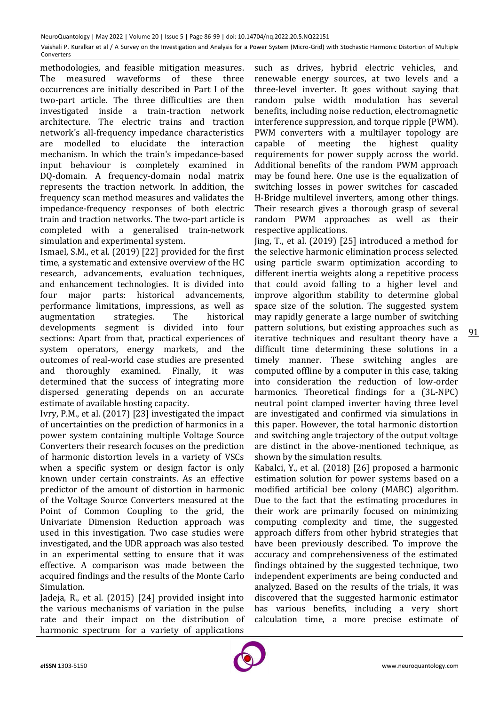methodologies, and feasible mitigation measures. The measured waveforms of these three occurrences are initially described in Part I of the two-part article. The three difficulties are then investigated inside a train-traction network architecture. The electric trains and traction network's all-frequency impedance characteristics are modelled to elucidate the interaction mechanism. In which the train's impedance-based input behaviour is completely examined in DQ-domain. A frequency-domain nodal matrix represents the traction network. In addition, the frequency scan method measures and validates the impedance-frequency responses of both electric train and traction networks. The two-part article is completed with a generalised train-network simulation and experimental system.

Ismael, S.M., et al. (2019) [22] provided for the first time, a systematic and extensive overview of the HC research, advancements, evaluation techniques, and enhancement technologies. It is divided into four major parts: historical advancements, performance limitations, impressions, as well as augmentation strategies. The historical developments segment is divided into four sections: Apart from that, practical experiences of system operators, energy markets, and the outcomes of real-world case studies are presented and thoroughly examined. Finally, it was determined that the success of integrating more dispersed generating depends on an accurate estimate of available hosting capacity.

Ivry, P.M., et al. (2017) [23] investigated the impact of uncertainties on the prediction of harmonics in a power system containing multiple Voltage Source Converters their research focuses on the prediction of harmonic distortion levels in a variety of VSCs when a specific system or design factor is only known under certain constraints. As an effective predictor of the amount of distortion in harmonic of the Voltage Source Converters measured at the Point of Common Coupling to the grid, the Univariate Dimension Reduction approach was used in this investigation. Two case studies were investigated, and the UDR approach was also tested in an experimental setting to ensure that it was effective. A comparison was made between the acquired findings and the results of the Monte Carlo Simulation.

Jadeja, R., et al. (2015) [24] provided insight into the various mechanisms of variation in the pulse rate and their impact on the distribution of harmonic spectrum for a variety of applications

such as drives, hybrid electric vehicles, and renewable energy sources, at two levels and a three-level inverter. It goes without saying that random pulse width modulation has several benefits, including noise reduction, electromagnetic interference suppression, and torque ripple (PWM). PWM converters with a multilayer topology are capable of meeting the highest quality requirements for power supply across the world. Additional benefits of the random PWM approach may be found here. One use is the equalization of switching losses in power switches for cascaded H-Bridge multilevel inverters, among other things. Their research gives a thorough grasp of several random PWM approaches as well as their respective applications.

Jing, T., et al. (2019) [25] introduced a method for the selective harmonic elimination process selected using particle swarm optimization according to different inertia weights along a repetitive process that could avoid falling to a higher level and improve algorithm stability to determine global space size of the solution. The suggested system may rapidly generate a large number of switching pattern solutions, but existing approaches such as iterative techniques and resultant theory have a difficult time determining these solutions in a timely manner. These switching angles are computed offline by a computer in this case, taking into consideration the reduction of low-order harmonics. Theoretical findings for a (3L-NPC) neutral point clamped inverter having three level are investigated and confirmed via simulations in this paper. However, the total harmonic distortion and switching angle trajectory of the output voltage are distinct in the above-mentioned technique, as shown by the simulation results.

Kabalci, Y., et al. (2018) [26] proposed a harmonic estimation solution for power systems based on a modified artificial bee colony (MABC) algorithm. Due to the fact that the estimating procedures in their work are primarily focused on minimizing computing complexity and time, the suggested approach differs from other hybrid strategies that have been previously described. To improve the accuracy and comprehensiveness of the estimated findings obtained by the suggested technique, two independent experiments are being conducted and analyzed. Based on the results of the trials, it was discovered that the suggested harmonic estimator has various benefits, including a very short calculation time, a more precise estimate of

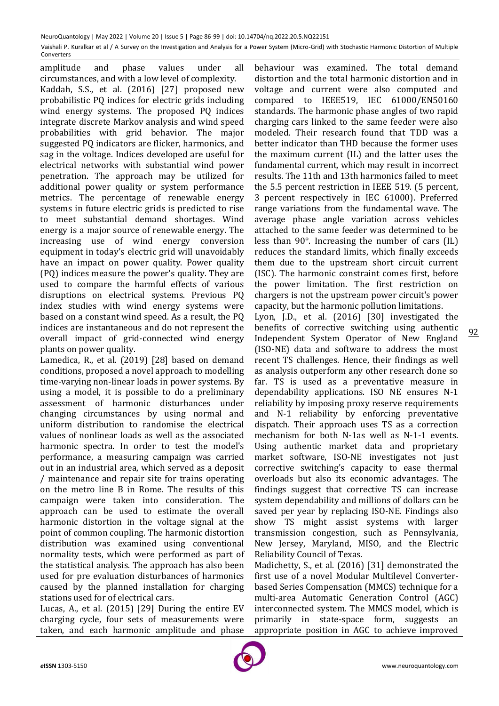amplitude and phase values under all circumstances, and with a low level of complexity. Kaddah, S.S., et al. (2016) [27] proposed new probabilistic PQ indices for electric grids including wind energy systems. The proposed PQ indices integrate discrete Markov analysis and wind speed probabilities with grid behavior. The major suggested PQ indicators are flicker, harmonics, and sag in the voltage. Indices developed are useful for electrical networks with substantial wind power penetration. The approach may be utilized for additional power quality or system performance metrics. The percentage of renewable energy systems in future electric grids is predicted to rise to meet substantial demand shortages. Wind energy is a major source of renewable energy. The increasing use of wind energy conversion equipment in today's electric grid will unavoidably have an impact on power quality. Power quality (PQ) indices measure the power's quality. They are used to compare the harmful effects of various disruptions on electrical systems. Previous PQ index studies with wind energy systems were based on a constant wind speed. As a result, the PQ indices are instantaneous and do not represent the overall impact of grid-connected wind energy plants on power quality.

Lamedica, R., et al. (2019) [28] based on demand conditions, proposed a novel approach to modelling time-varying non-linear loads in power systems. By using a model, it is possible to do a preliminary assessment of harmonic disturbances under changing circumstances by using normal and uniform distribution to randomise the electrical values of nonlinear loads as well as the associated harmonic spectra. In order to test the model's performance, a measuring campaign was carried out in an industrial area, which served as a deposit / maintenance and repair site for trains operating on the metro line B in Rome. The results of this campaign were taken into consideration. The approach can be used to estimate the overall harmonic distortion in the voltage signal at the point of common coupling. The harmonic distortion distribution was examined using conventional normality tests, which were performed as part of the statistical analysis. The approach has also been used for pre evaluation disturbances of harmonics caused by the planned installation for charging stations used for of electrical cars.

Lucas, A., et al. (2015) [29] During the entire EV charging cycle, four sets of measurements were taken, and each harmonic amplitude and phase

behaviour was examined. The total demand distortion and the total harmonic distortion and in voltage and current were also computed and compared to IEEE519, IEC 61000/EN50160 standards. The harmonic phase angles of two rapid charging cars linked to the same feeder were also modeled. Their research found that TDD was a better indicator than THD because the former uses the maximum current (IL) and the latter uses the fundamental current, which may result in incorrect results. The 11th and 13th harmonics failed to meet the 5.5 percent restriction in IEEE 519. (5 percent, 3 percent respectively in IEC 61000). Preferred range variations from the fundamental wave. The average phase angle variation across vehicles attached to the same feeder was determined to be less than 90°. Increasing the number of cars (IL) reduces the standard limits, which finally exceeds them due to the upstream short circuit current (ISC). The harmonic constraint comes first, before the power limitation. The first restriction on chargers is not the upstream power circuit's power capacity, but the harmonic pollution limitations.

Lyon, J.D., et al. (2016) [30] investigated the benefits of corrective switching using authentic Independent System Operator of New England (ISO-NE) data and software to address the most recent TS challenges. Hence, their findings as well as analysis outperform any other research done so far. TS is used as a preventative measure in dependability applications. ISO NE ensures N-1 reliability by imposing proxy reserve requirements and N-1 reliability by enforcing preventative dispatch. Their approach uses TS as a correction mechanism for both N-1as well as N-1-1 events. Using authentic market data and proprietary market software, ISO-NE investigates not just corrective switching's capacity to ease thermal overloads but also its economic advantages. The findings suggest that corrective TS can increase system dependability and millions of dollars can be saved per year by replacing ISO-NE. Findings also show TS might assist systems with larger transmission congestion, such as Pennsylvania, New Jersey, Maryland, MISO, and the Electric Reliability Council of Texas.

Madichetty, S., et al. (2016) [31] demonstrated the first use of a novel Modular Multilevel Converterbased Series Compensation (MMCS) technique for a multi-area Automatic Generation Control (AGC) interconnected system. The MMCS model, which is primarily in state-space form, suggests an appropriate position in AGC to achieve improved

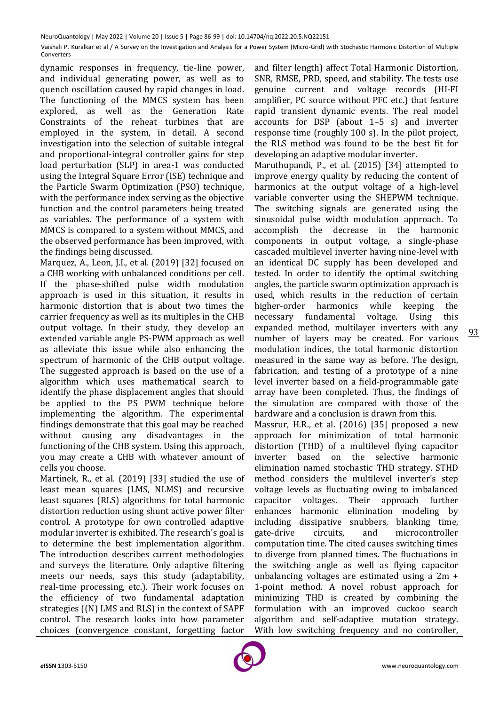dynamic responses in frequency, tie-line power, and individual generating power, as well as to quench oscillation caused by rapid changes in load. The functioning of the MMCS system has been explored, as well as the Generation Rate Constraints of the reheat turbines that are employed in the system, in detail. A second investigation into the selection of suitable integral and proportional-integral controller gains for step load perturbation (SLP) in area-1 was conducted using the Integral Square Error (ISE) technique and the Particle Swarm Optimization (PSO) technique, with the performance index serving as the objective function and the control parameters being treated as variables. The performance of a system with MMCS is compared to a system without MMCS, and the observed performance has been improved, with the findings being discussed.

Marquez, A., Leon, J.I., et al. (2019) [32] focused on a CHB working with unbalanced conditions per cell. If the phase-shifted pulse width modulation approach is used in this situation, it results in harmonic distortion that is about two times the carrier frequency as well as its multiples in the CHB output voltage. In their study, they develop an extended variable angle PS-PWM approach as well as alleviate this issue while also enhancing the spectrum of harmonic of the CHB output voltage. The suggested approach is based on the use of a algorithm which uses mathematical search to identify the phase displacement angles that should be applied to the PS PWM technique before implementing the algorithm. The experimental findings demonstrate that this goal may be reached without causing any disadvantages in the functioning of the CHB system. Using this approach, you may create a CHB with whatever amount of cells you choose.

Martinek, R., et al. (2019) [33] studied the use of least mean squares (LMS, NLMS) and recursive least squares (RLS) algorithms for total harmonic distortion reduction using shunt active power filter control. A prototype for own controlled adaptive modular inverter is exhibited. The research's goal is to determine the best implementation algorithm. The introduction describes current methodologies and surveys the literature. Only adaptive filtering meets our needs, says this study (adaptability, real-time processing, etc.). Their work focuses on the efficiency of two fundamental adaptation strategies ((N) LMS and RLS) in the context of SAPF control. The research looks into how parameter choices (convergence constant, forgetting factor

and filter length) affect Total Harmonic Distortion, SNR, RMSE, PRD, speed, and stability. The tests use genuine current and voltage records (HI-FI amplifier, PC source without PFC etc.) that feature rapid transient dynamic events. The real model accounts for DSP (about 1–5 s) and inverter response time (roughly 100 s). In the pilot project, the RLS method was found to be the best fit for developing an adaptive modular inverter.

Maruthupandi, P., et al. (2015) [34] attempted to improve energy quality by reducing the content of harmonics at the output voltage of a high-level variable converter using the SHEPWM technique. The switching signals are generated using the sinusoidal pulse width modulation approach. To accomplish the decrease in the harmonic components in output voltage, a single-phase cascaded multilevel inverter having nine-level with an identical DC supply has been developed and tested. In order to identify the optimal switching angles, the particle swarm optimization approach is used, which results in the reduction of certain higher-order harmonics while keeping the necessary fundamental voltage. Using this expanded method, multilayer inverters with any number of layers may be created. For various modulation indices, the total harmonic distortion measured in the same way as before. The design, fabrication, and testing of a prototype of a nine level inverter based on a field-programmable gate array have been completed. Thus, the findings of the simulation are compared with those of the hardware and a conclusion is drawn from this.

Massrur, H.R., et al. (2016) [35] proposed a new approach for minimization of total harmonic distortion (THD) of a multilevel flying capacitor inverter based on the selective harmonic elimination named stochastic THD strategy. STHD method considers the multilevel inverter's step voltage levels as fluctuating owing to imbalanced capacitor voltages. Their approach further enhances harmonic elimination modeling by including dissipative snubbers, blanking time, gate-drive circuits, and microcontroller computation time. The cited causes switching times to diverge from planned times. The fluctuations in the switching angle as well as flying capacitor unbalancing voltages are estimated using a 2m + 1-point method. A novel robust approach for minimizing THD is created by combining the formulation with an improved cuckoo search algorithm and self-adaptive mutation strategy. With low switching frequency and no controller,

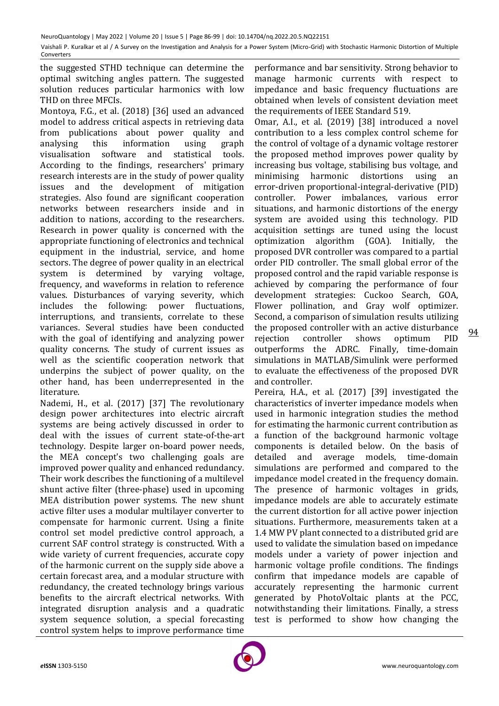the suggested STHD technique can determine the optimal switching angles pattern. The suggested solution reduces particular harmonics with low THD on three MFCIs.

Montoya, F.G., et al. (2018) [36] used an advanced model to address critical aspects in retrieving data from publications about power quality and analysing this information using graph visualisation software and statistical tools. According to the findings, researchers' primary research interests are in the study of power quality issues and the development of mitigation strategies. Also found are significant cooperation networks between researchers inside and in addition to nations, according to the researchers. Research in power quality is concerned with the appropriate functioning of electronics and technical equipment in the industrial, service, and home sectors. The degree of power quality in an electrical system is determined by varying voltage, frequency, and waveforms in relation to reference values. Disturbances of varying severity, which includes the following: power fluctuations, interruptions, and transients, correlate to these variances. Several studies have been conducted with the goal of identifying and analyzing power quality concerns. The study of current issues as well as the scientific cooperation network that underpins the subject of power quality, on the other hand, has been underrepresented in the literature.

Nademi, H., et al. (2017) [37] The revolutionary design power architectures into electric aircraft systems are being actively discussed in order to deal with the issues of current state-of-the-art technology. Despite larger on-board power needs, the MEA concept's two challenging goals are improved power quality and enhanced redundancy. Their work describes the functioning of a multilevel shunt active filter (three-phase) used in upcoming MEA distribution power systems. The new shunt active filter uses a modular multilayer converter to compensate for harmonic current. Using a finite control set model predictive control approach, a current SAF control strategy is constructed. With a wide variety of current frequencies, accurate copy of the harmonic current on the supply side above a certain forecast area, and a modular structure with redundancy, the created technology brings various benefits to the aircraft electrical networks. With integrated disruption analysis and a quadratic system sequence solution, a special forecasting control system helps to improve performance time

performance and bar sensitivity. Strong behavior to manage harmonic currents with respect to impedance and basic frequency fluctuations are obtained when levels of consistent deviation meet the requirements of IEEE Standard 519.

Omar, A.I., et al. (2019) [38] introduced a novel contribution to a less complex control scheme for the control of voltage of a dynamic voltage restorer the proposed method improves power quality by increasing bus voltage, stabilising bus voltage, and minimising harmonic distortions using an error-driven proportional-integral-derivative (PID) controller. Power imbalances, various error situations, and harmonic distortions of the energy system are avoided using this technology. PID acquisition settings are tuned using the locust optimization algorithm (GOA). Initially, the proposed DVR controller was compared to a partial order PID controller. The small global error of the proposed control and the rapid variable response is achieved by comparing the performance of four development strategies: Cuckoo Search, GOA, Flower pollination, and Gray wolf optimizer. Second, a comparison of simulation results utilizing the proposed controller with an active disturbance rejection controller shows optimum PID outperforms the ADRC. Finally, time-domain simulations in MATLAB/Simulink were performed to evaluate the effectiveness of the proposed DVR and controller.

Pereira, H.A., et al. (2017) [39] investigated the characteristics of inverter impedance models when used in harmonic integration studies the method for estimating the harmonic current contribution as a function of the background harmonic voltage components is detailed below. On the basis of detailed and average models, time-domain simulations are performed and compared to the impedance model created in the frequency domain. The presence of harmonic voltages in grids, impedance models are able to accurately estimate the current distortion for all active power injection situations. Furthermore, measurements taken at a 1.4 MW PV plant connected to a distributed grid are used to validate the simulation based on impedance models under a variety of power injection and harmonic voltage profile conditions. The findings confirm that impedance models are capable of accurately representing the harmonic current generated by PhotoVoltaic plants at the PCC, notwithstanding their limitations. Finally, a stress test is performed to show how changing the

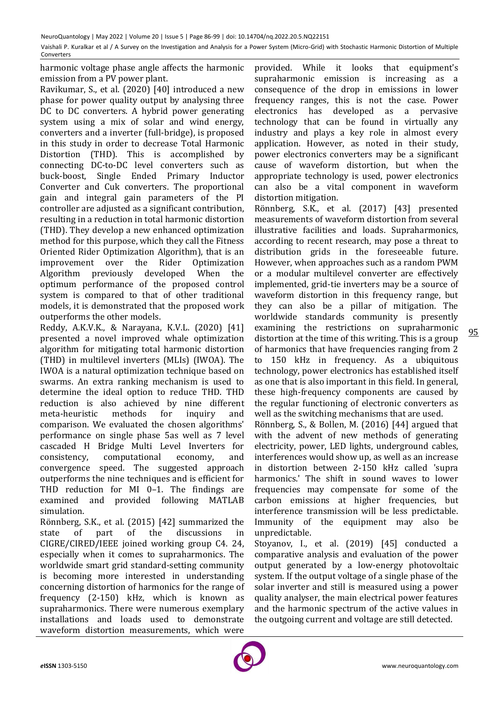harmonic voltage phase angle affects the harmonic emission from a PV power plant.

Ravikumar, S., et al. (2020) [40] introduced a new phase for power quality output by analysing three DC to DC converters. A hybrid power generating system using a mix of solar and wind energy, converters and a inverter (full-bridge), is proposed in this study in order to decrease Total Harmonic Distortion (THD). This is accomplished by connecting DC-to-DC level converters such as buck-boost, Single Ended Primary Inductor Converter and Cuk converters. The proportional gain and integral gain parameters of the PI controller are adjusted as a significant contribution, resulting in a reduction in total harmonic distortion (THD). They develop a new enhanced optimization method for this purpose, which they call the Fitness Oriented Rider Optimization Algorithm), that is an improvement over the Rider Optimization Algorithm previously developed When the optimum performance of the proposed control system is compared to that of other traditional models, it is demonstrated that the proposed work outperforms the other models.

Reddy, A.K.V.K., & Narayana, K.V.L. (2020) [41] presented a novel improved whale optimization algorithm for mitigating total harmonic distortion (THD) in multilevel inverters (MLIs) (IWOA). The IWOA is a natural optimization technique based on swarms. An extra ranking mechanism is used to determine the ideal option to reduce THD. THD reduction is also achieved by nine different meta-heuristic methods for inquiry and comparison. We evaluated the chosen algorithms' performance on single phase 5as well as 7 level cascaded H Bridge Multi Level Inverters for consistency, computational economy, and convergence speed. The suggested approach outperforms the nine techniques and is efficient for THD reduction for MI 0–1. The findings are examined and provided following MATLAB simulation.

Rönnberg, S.K., et al. (2015) [42] summarized the state of part of the discussions in CIGRE/CIRED/IEEE joined working group C4. 24, especially when it comes to supraharmonics. The worldwide smart grid standard-setting community is becoming more interested in understanding concerning distortion of harmonics for the range of frequency (2-150) kHz, which is known as supraharmonics. There were numerous exemplary installations and loads used to demonstrate waveform distortion measurements, which were

provided. While it looks that equipment's supraharmonic emission is increasing as a consequence of the drop in emissions in lower frequency ranges, this is not the case. Power electronics has developed as a pervasive technology that can be found in virtually any industry and plays a key role in almost every application. However, as noted in their study, power electronics converters may be a significant cause of waveform distortion, but when the appropriate technology is used, power electronics can also be a vital component in waveform distortion mitigation.

Rönnberg, S.K., et al. (2017) [43] presented measurements of waveform distortion from several illustrative facilities and loads. Supraharmonics, according to recent research, may pose a threat to distribution grids in the foreseeable future. However, when approaches such as a random PWM or a modular multilevel converter are effectively implemented, grid-tie inverters may be a source of waveform distortion in this frequency range, but they can also be a pillar of mitigation. The worldwide standards community is presently examining the restrictions on supraharmonic distortion at the time of this writing. This is a group of harmonics that have frequencies ranging from 2 to 150 kHz in frequency. As a ubiquitous technology, power electronics has established itself as one that is also important in this field. In general, these high-frequency components are caused by the regular functioning of electronic converters as well as the switching mechanisms that are used.

Rönnberg, S., & Bollen, M. (2016) [44] argued that with the advent of new methods of generating electricity, power, LED lights, underground cables, interferences would show up, as well as an increase in distortion between 2-150 kHz called 'supra harmonics.' The shift in sound waves to lower frequencies may compensate for some of the carbon emissions at higher frequencies, but interference transmission will be less predictable. Immunity of the equipment may also be unpredictable.

Stoyanov, I., et al. (2019) [45] conducted a comparative analysis and evaluation of the power output generated by a low-energy photovoltaic system. If the output voltage of a single phase of the solar inverter and still is measured using a power quality analyser, the main electrical power features and the harmonic spectrum of the active values in the outgoing current and voltage are still detected.

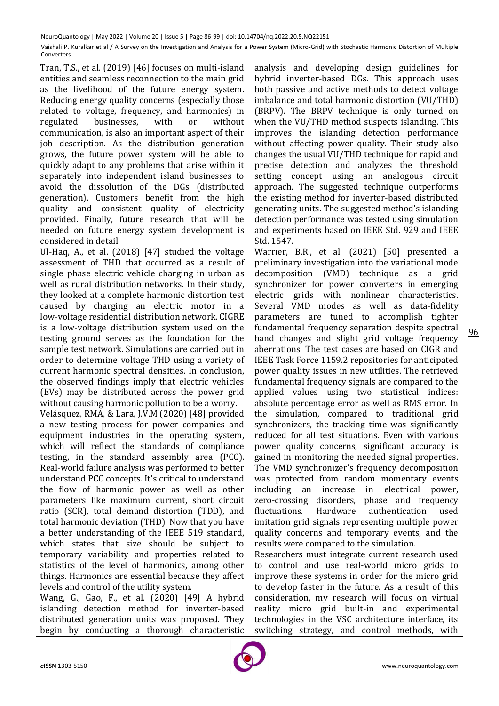Tran, T.S., et al. (2019) [46] focuses on multi-island entities and seamless reconnection to the main grid as the livelihood of the future energy system. Reducing energy quality concerns (especially those related to voltage, frequency, and harmonics) in regulated businesses, with or without communication, is also an important aspect of their job description. As the distribution generation grows, the future power system will be able to quickly adapt to any problems that arise within it separately into independent island businesses to avoid the dissolution of the DGs (distributed generation). Customers benefit from the high quality and consistent quality of electricity provided. Finally, future research that will be needed on future energy system development is considered in detail.

Ul-Haq, A., et al. (2018) [47] studied the voltage assessment of THD that occurred as a result of single phase electric vehicle charging in urban as well as rural distribution networks. In their study, they looked at a complete harmonic distortion test caused by charging an electric motor in a low-voltage residential distribution network. CIGRE is a low-voltage distribution system used on the testing ground serves as the foundation for the sample test network. Simulations are carried out in order to determine voltage THD using a variety of current harmonic spectral densities. In conclusion, the observed findings imply that electric vehicles (EVs) may be distributed across the power grid without causing harmonic pollution to be a worry.

Velásquez, RMA, & Lara, J.V.M (2020) [48] provided a new testing process for power companies and equipment industries in the operating system, which will reflect the standards of compliance testing, in the standard assembly area (PCC). Real-world failure analysis was performed to better understand PCC concepts. It's critical to understand the flow of harmonic power as well as other parameters like maximum current, short circuit ratio (SCR), total demand distortion (TDD), and total harmonic deviation (THD). Now that you have a better understanding of the IEEE 519 standard, which states that size should be subject to temporary variability and properties related to statistics of the level of harmonics, among other things. Harmonics are essential because they affect levels and control of the utility system.

Wang, G., Gao, F., et al. (2020) [49] A hybrid islanding detection method for inverter-based distributed generation units was proposed. They begin by conducting a thorough characteristic

analysis and developing design guidelines for hybrid inverter-based DGs. This approach uses both passive and active methods to detect voltage imbalance and total harmonic distortion (VU/THD) (BRPV). The BRPV technique is only turned on when the VU/THD method suspects islanding. This improves the islanding detection performance without affecting power quality. Their study also changes the usual VU/THD technique for rapid and precise detection and analyzes the threshold setting concept using an analogous circuit approach. The suggested technique outperforms the existing method for inverter-based distributed generating units. The suggested method's islanding detection performance was tested using simulation and experiments based on IEEE Std. 929 and IEEE Std. 1547.

Warrier, B.R., et al. (2021) [50] presented a preliminary investigation into the variational mode decomposition (VMD) technique as a grid synchronizer for power converters in emerging electric grids with nonlinear characteristics. Several VMD modes as well as data-fidelity parameters are tuned to accomplish tighter fundamental frequency separation despite spectral band changes and slight grid voltage frequency aberrations. The test cases are based on CIGR and IEEE Task Force 1159.2 repositories for anticipated power quality issues in new utilities. The retrieved fundamental frequency signals are compared to the applied values using two statistical indices: absolute percentage error as well as RMS error. In the simulation, compared to traditional grid synchronizers, the tracking time was significantly reduced for all test situations. Even with various power quality concerns, significant accuracy is gained in monitoring the needed signal properties. The VMD synchronizer's frequency decomposition was protected from random momentary events including an increase in electrical power, zero-crossing disorders, phase and frequency fluctuations. Hardware authentication used imitation grid signals representing multiple power quality concerns and temporary events, and the results were compared to the simulation.

Researchers must integrate current research used to control and use real-world micro grids to improve these systems in order for the micro grid to develop faster in the future. As a result of this consideration, my research will focus on virtual reality micro grid built-in and experimental technologies in the VSC architecture interface, its switching strategy, and control methods, with

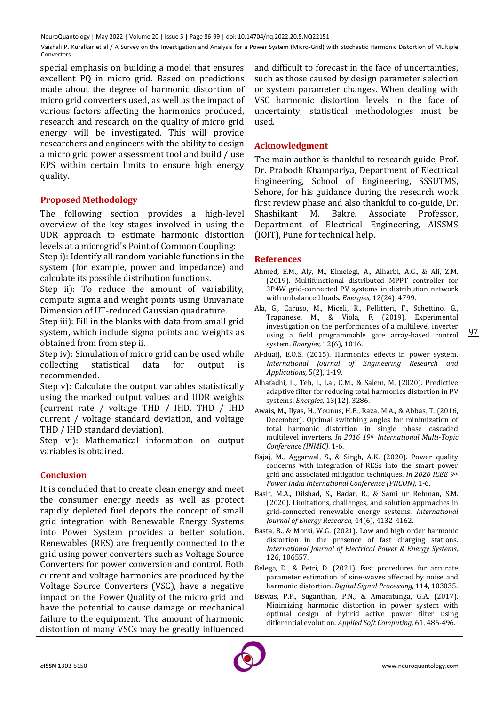special emphasis on building a model that ensures excellent PQ in micro grid. Based on predictions made about the degree of harmonic distortion of micro grid converters used, as well as the impact of various factors affecting the harmonics produced, research and research on the quality of micro grid energy will be investigated. This will provide researchers and engineers with the ability to design a micro grid power assessment tool and build / use EPS within certain limits to ensure high energy quality.

# **Proposed Methodology**

The following section provides a high-level overview of the key stages involved in using the UDR approach to estimate harmonic distortion levels at a microgrid's Point of Common Coupling:

Step i): Identify all random variable functions in the system (for example, power and impedance) and calculate its possible distribution functions.

Step ii): To reduce the amount of variability, compute sigma and weight points using Univariate Dimension of UT-reduced Gaussian quadrature.

Step iii): Fill in the blanks with data from small grid system, which include sigma points and weights as obtained from from step ii.

Step iv): Simulation of micro grid can be used while collecting statistical data for output is recommended.

Step v): Calculate the output variables statistically using the marked output values and UDR weights (current rate / voltage THD / IHD, THD / IHD current / voltage standard deviation, and voltage THD / IHD standard deviation).

Step vi): Mathematical information on output variables is obtained.

## **Conclusion**

It is concluded that to create clean energy and meet the consumer energy needs as well as protect rapidly depleted fuel depots the concept of small grid integration with Renewable Energy Systems into Power System provides a better solution. Renewables (RES) are frequently connected to the grid using power converters such as Voltage Source Converters for power conversion and control. Both current and voltage harmonics are produced by the Voltage Source Converters (VSC), have a negative impact on the Power Quality of the micro grid and have the potential to cause damage or mechanical failure to the equipment. The amount of harmonic distortion of many VSCs may be greatly influenced and difficult to forecast in the face of uncertainties, such as those caused by design parameter selection or system parameter changes. When dealing with VSC harmonic distortion levels in the face of uncertainty, statistical methodologies must be used.

## **Acknowledgment**

The main author is thankful to research guide, Prof. Dr. Prabodh Khampariya, Department of Electrical Engineering, School of Engineering, SSSUTMS, Sehore, for his guidance during the research work first review phase and also thankful to co-guide, Dr. Shashikant M. Bakre, Associate Professor, Department of Electrical Engineering, AISSMS (IOIT), Pune for technical help.

#### **References**

- Ahmed, E.M., Aly, M., Elmelegi, A., Alharbi, A.G., & Ali, Z.M. (2019). Multifunctional distributed MPPT controller for 3P4W grid-connected PV systems in distribution network with unbalanced loads. *Energies,* 12(24), 4799.
- Ala, G., Caruso, M., Miceli, R., Pellitteri, F., Schettino, G., Trapanese, M., & Viola, F. (2019). Experimental investigation on the performances of a multilevel inverter using a field programmable gate array-based control system. *Energies,* 12(6), 1016.
- Al-duaij, E.O.S. (2015). Harmonics effects in power system. *International Journal of Engineering Research and Applications,* 5(2), 1-19.
- Alhafadhi, L., Teh, J., Lai, C.M., & Salem, M. (2020). Predictive adaptive filter for reducing total harmonics distortion in PV systems. *Energies,* 13(12), 3286.
- Awais, M., Ilyas, H., Younus, H.B., Raza, M.A., & Abbas, T. (2016, December). Optimal switching angles for minimization of total harmonic distortion in single phase cascaded multilevel inverters. *In 2016 19th International Multi-Topic Conference (INMIC),* 1-6.
- Bajaj, M., Aggarwal, S., & Singh, A.K. (2020). Power quality concerns with integration of RESs into the smart power grid and associated mitigation techniques. *In 2020 IEEE 9th Power India International Conference (PIICON),* 1-6.
- Basit, M.A., Dilshad, S., Badar, R., & Sami ur Rehman, S.M. (2020). Limitations, challenges, and solution approaches in grid‐connected renewable energy systems. *International Journal of Energy Research,* 44(6), 4132-4162.
- Basta, B., & Morsi, W.G. (2021). Low and high order harmonic distortion in the presence of fast charging stations. *International Journal of Electrical Power & Energy Systems,* 126, 106557.
- Belega, D., & Petri, D. (2021). Fast procedures for accurate parameter estimation of sine-waves affected by noise and harmonic distortion. *Digital Signal Processing,* 114, 103035.
- Biswas, P.P., Suganthan, P.N., & Amaratunga, G.A. (2017). Minimizing harmonic distortion in power system with optimal design of hybrid active power filter using differential evolution. *Applied Soft Computing,* 61, 486-496.

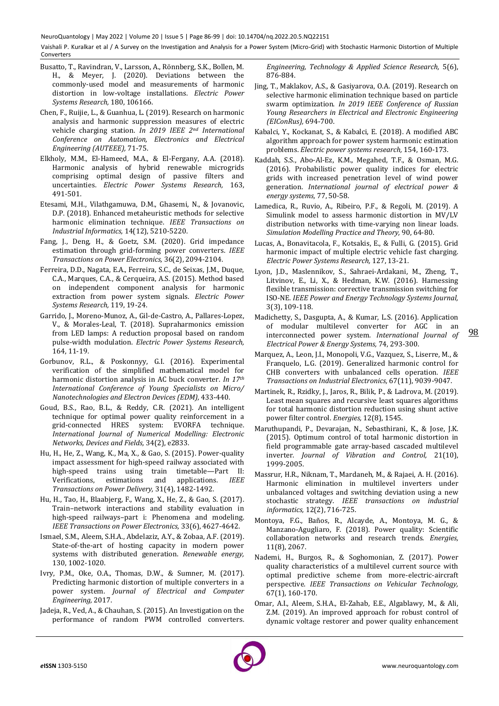- Busatto, T., Ravindran, V., Larsson, A., Rönnberg, S.K., Bollen, M. H., & Meyer, J. (2020). Deviations between the commonly-used model and measurements of harmonic distortion in low-voltage installations. *Electric Power Systems Research,* 180, 106166.
- Chen, F., Ruijie, L., & Guanhua, L. (2019). Research on harmonic analysis and harmonic suppression measures of electric vehicle charging station. *In 2019 IEEE 2nd International Conference on Automation, Electronics and Electrical Engineering (AUTEEE),* 71-75.
- Elkholy, M.M., El-Hameed, M.A., & El-Fergany, A.A. (2018). Harmonic analysis of hybrid renewable microgrids comprising optimal design of passive filters and uncertainties. *Electric Power Systems Research,* 163, 491-501.
- Etesami, M.H., Vilathgamuwa, D.M., Ghasemi, N., & Jovanovic, D.P. (2018). Enhanced metaheuristic methods for selective harmonic elimination technique. *IEEE Transactions on Industrial Informatics,* 14(12), 5210-5220.
- Fang, J., Deng, H., & Goetz, S.M. (2020). Grid impedance estimation through grid-forming power converters. *IEEE Transactions on Power Electronics,* 36(2), 2094-2104.
- Ferreira, D.D., Nagata, E.A., Ferreira, S.C., de Seixas, J.M., Duque, C.A., Marques, C.A., & Cerqueira, A.S. (2015). Method based on independent component analysis for harmonic extraction from power system signals. *Electric Power Systems Research,* 119, 19-24.
- Garrido, J., Moreno-Munoz, A., Gil-de-Castro, A., Pallares-Lopez, V., & Morales-Leal, T. (2018). Supraharmonics emission from LED lamps: A reduction proposal based on random pulse-width modulation. *Electric Power Systems Research,* 164, 11-19.
- Gorbunov, R.L., & Poskonnyy, G.I. (2016). Experimental verification of the simplified mathematical model for harmonic distortion analysis in AC buck converter. *In 17th International Conference of Young Specialists on Micro/ Nanotechnologies and Electron Devices (EDM),* 433-440.
- Goud, B.S., Rao, B.L., & Reddy, C.R. (2021). An intelligent technique for optimal power quality reinforcement in a grid‐connected HRES system: EVORFA technique. *International Journal of Numerical Modelling: Electronic Networks, Devices and Fields,* 34(2), e2833.
- Hu, H., He, Z., Wang, K., Ma, X., & Gao, S. (2015). Power-quality impact assessment for high-speed railway associated with high-speed trains using train timetable—Part II: Verifications, estimations and applications. *IEEE Transactions on Power Delivery,* 31(4), 1482-1492.
- Hu, H., Tao, H., Blaabjerg, F., Wang, X., He, Z., & Gao, S. (2017). Train–network interactions and stability evaluation in high-speed railways–part i: Phenomena and modeling. *IEEE Transactions on Power Electronics,* 33(6), 4627-4642.
- Ismael, S.M., Aleem, S.H.A., Abdelaziz, A.Y., & Zobaa, A.F. (2019). State-of-the-art of hosting capacity in modern power systems with distributed generation. *Renewable energy,* 130, 1002-1020.
- Ivry, P.M., Oke, O.A., Thomas, D.W., & Sumner, M. (2017). Predicting harmonic distortion of multiple converters in a power system. *Journal of Electrical and Computer Engineering,* 2017.
- Jadeja, R., Ved, A., & Chauhan, S. (2015). An Investigation on the performance of random PWM controlled converters.

*Engineering, Technology & Applied Science Research,* 5(6), 876-884.

- Jing, T., Maklakov, A.S., & Gasiyarova, O.A. (2019). Research on selective harmonic elimination technique based on particle swarm optimization. *In 2019 IEEE Conference of Russian Young Researchers in Electrical and Electronic Engineering (EIConRus),* 694-700.
- Kabalci, Y., Kockanat, S., & Kabalci, E. (2018). A modified ABC algorithm approach for power system harmonic estimation problems. *Electric power systems research,* 154, 160-173.
- Kaddah, S.S., Abo-Al-Ez, K.M., Megahed, T.F., & Osman, M.G. (2016). Probabilistic power quality indices for electric grids with increased penetration level of wind power generation. *International journal of electrical power & energy systems,* 77, 50-58.
- Lamedica, R., Ruvio, A., Ribeiro, P.F., & Regoli, M. (2019). A Simulink model to assess harmonic distortion in MV/LV distribution networks with time-varying non linear loads. *Simulation Modelling Practice and Theory,* 90, 64-80.
- Lucas, A., Bonavitacola, F., Kotsakis, E., & Fulli, G. (2015). Grid harmonic impact of multiple electric vehicle fast charging. *Electric Power Systems Research,* 127, 13-21.
- Lyon, J.D., Maslennikov, S., Sahraei-Ardakani, M., Zheng, T., Litvinov, E., Li, X., & Hedman, K.W. (2016). Harnessing flexible transmission: corrective transmission switching for ISO-NE. *IEEE Power and Energy Technology Systems Journal,*  3(3), 109-118.
- Madichetty, S., Dasgupta, A., & Kumar, L.S. (2016). Application of modular multilevel converter for AGC in an interconnected power system. *International Journal of Electrical Power & Energy Systems,* 74, 293-300.
- Marquez, A., Leon, J.I., Monopoli, V.G., Vazquez, S., Liserre, M., & Franquelo, L.G. (2019). Generalized harmonic control for CHB converters with unbalanced cells operation. *IEEE Transactions on Industrial Electronics,* 67(11), 9039-9047.
- Martinek, R., Rzidky, J., Jaros, R., Bilik, P., & Ladrova, M. (2019). Least mean squares and recursive least squares algorithms for total harmonic distortion reduction using shunt active power filter control. *Energies,* 12(8), 1545.
- Maruthupandi, P., Devarajan, N., Sebasthirani, K., & Jose, J.K. (2015). Optimum control of total harmonic distortion in field programmable gate array-based cascaded multilevel inverter. *Journal of Vibration and Control,* 21(10), 1999-2005.
- Massrur, H.R., Niknam, T., Mardaneh, M., & Rajaei, A. H. (2016). Harmonic elimination in multilevel inverters under unbalanced voltages and switching deviation using a new stochastic strategy. *IEEE transactions on industrial informatics,* 12(2), 716-725.
- Montoya, F.G., Baños, R., Alcayde, A., Montoya, M. G., & Manzano-Agugliaro, F. (2018). Power quality: Scientific collaboration networks and research trends. *Energies,*  11(8), 2067.
- Nademi, H., Burgos, R., & Soghomonian, Z. (2017). Power quality characteristics of a multilevel current source with optimal predictive scheme from more-electric-aircraft perspective. *IEEE Transactions on Vehicular Technology,* 67(1), 160-170.
- Omar, A.I., Aleem, S.H.A., El-Zahab, E.E., Algablawy, M., & Ali, Z.M. (2019). An improved approach for robust control of dynamic voltage restorer and power quality enhancement